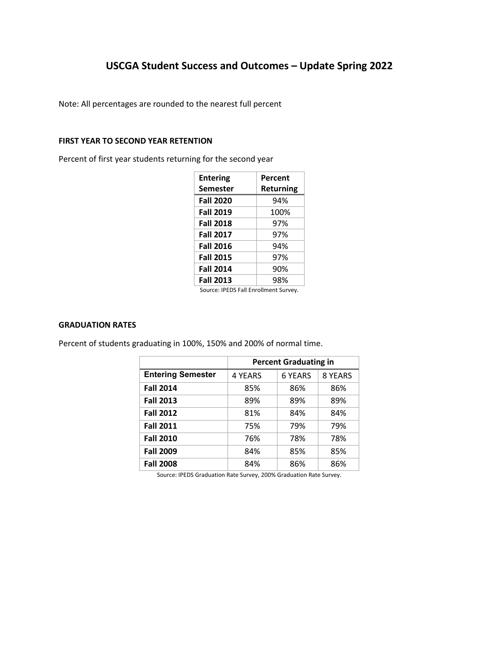# **USCGA Student Success and Outcomes – Update Spring 2022**

Note: All percentages are rounded to the nearest full percent

### **FIRST YEAR TO SECOND YEAR RETENTION**

Percent of first year students returning for the second year

| <b>Entering</b>  | Percent          |
|------------------|------------------|
| Semester         | <b>Returning</b> |
| <b>Fall 2020</b> | 94%              |
| <b>Fall 2019</b> | 100%             |
| <b>Fall 2018</b> | 97%              |
| <b>Fall 2017</b> | 97%              |
| <b>Fall 2016</b> | 94%              |
| <b>Fall 2015</b> | 97%              |
| <b>Fall 2014</b> | 90%              |
| <b>Fall 2013</b> | 98%              |

Source: IPEDS Fall Enrollment Survey.

### **GRADUATION RATES**

Percent of students graduating in 100%, 150% and 200% of normal time.

|                          | <b>Percent Graduating in</b> |                |         |
|--------------------------|------------------------------|----------------|---------|
| <b>Entering Semester</b> | 4 YEARS                      | <b>6 YEARS</b> | 8 YEARS |
| <b>Fall 2014</b>         | 85%                          | 86%            | 86%     |
| <b>Fall 2013</b>         | 89%                          | 89%            | 89%     |
| <b>Fall 2012</b>         | 81%                          | 84%            | 84%     |
| <b>Fall 2011</b>         | 75%                          | 79%            | 79%     |
| <b>Fall 2010</b>         | 76%                          | 78%            | 78%     |
| <b>Fall 2009</b>         | 84%                          | 85%            | 85%     |
| <b>Fall 2008</b>         | 84%                          | 86%            | 86%     |

Source: IPEDS Graduation Rate Survey, 200% Graduation Rate Survey.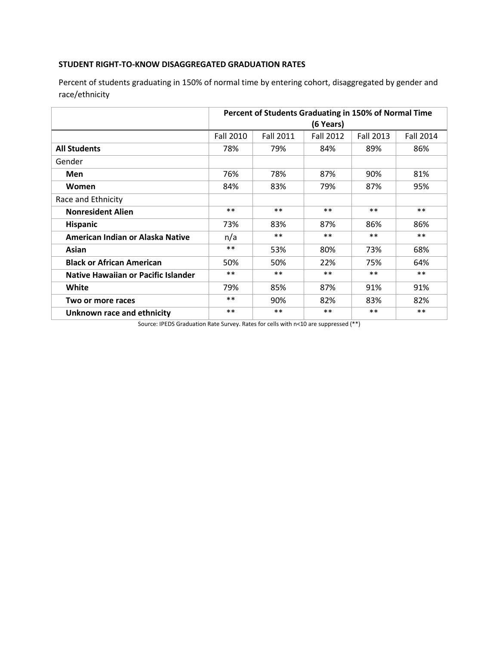## **STUDENT RIGHT-TO-KNOW DISAGGREGATED GRADUATION RATES**

 Percent of students graduating in 150% of normal time by entering cohort, disaggregated by gender and race/ethnicity

|                                     | Percent of Students Graduating in 150% of Normal Time<br>(6 Years) |                  |                  |                  |                  |
|-------------------------------------|--------------------------------------------------------------------|------------------|------------------|------------------|------------------|
|                                     | <b>Fall 2010</b>                                                   | <b>Fall 2011</b> | <b>Fall 2012</b> | <b>Fall 2013</b> | <b>Fall 2014</b> |
| <b>All Students</b>                 | 78%                                                                | 79%              | 84%              | 89%              | 86%              |
| Gender                              |                                                                    |                  |                  |                  |                  |
| <b>Men</b>                          | 76%                                                                | 78%              | 87%              | 90%              | 81%              |
| Women                               | 84%                                                                | 83%              | 79%              | 87%              | 95%              |
| Race and Ethnicity                  |                                                                    |                  |                  |                  |                  |
| <b>Nonresident Alien</b>            | $***$                                                              | $***$            | $***$            | $***$            | $***$            |
| <b>Hispanic</b>                     | 73%                                                                | 83%              | 87%              | 86%              | 86%              |
| American Indian or Alaska Native    | n/a                                                                | $**$             | $***$            | $***$            | $***$            |
| Asian                               | $***$                                                              | 53%              | 80%              | 73%              | 68%              |
| <b>Black or African American</b>    | 50%                                                                | 50%              | 22%              | 75%              | 64%              |
| Native Hawaiian or Pacific Islander | $***$                                                              | $***$            | $***$            | $***$            | $***$            |
| White                               | 79%                                                                | 85%              | 87%              | 91%              | 91%              |
| Two or more races                   | $***$                                                              | 90%              | 82%              | 83%              | 82%              |
| Unknown race and ethnicity          | $***$                                                              | $***$            | $***$            | $***$            | $***$            |

Source: IPEDS Graduation Rate Survey. Rates for cells with n<10 are suppressed (\*\*)